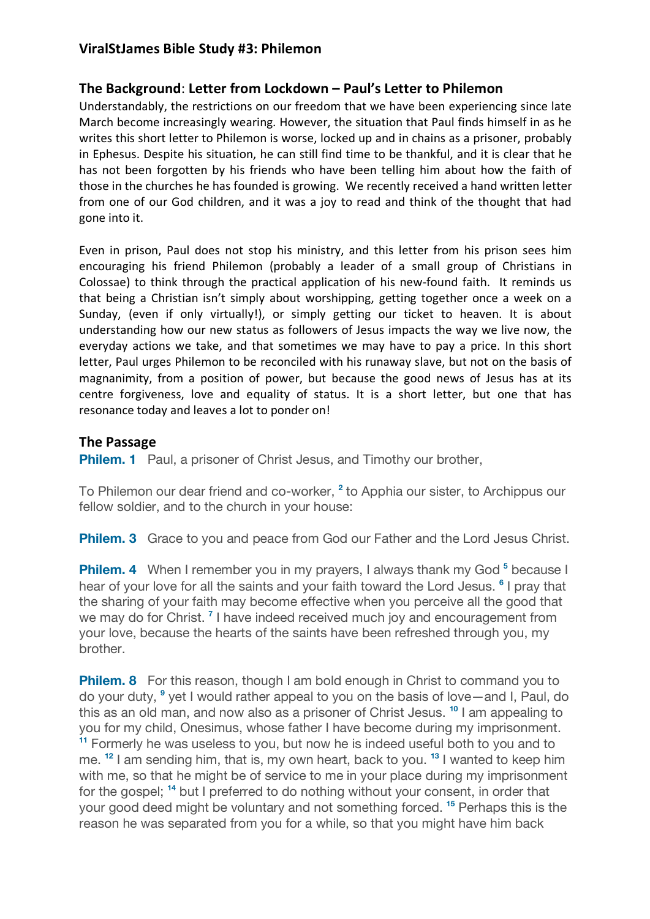# **ViralStJames Bible Study #3: Philemon**

# **The Background**: **Letter from Lockdown – Paul's Letter to Philemon**

Understandably, the restrictions on our freedom that we have been experiencing since late March become increasingly wearing. However, the situation that Paul finds himself in as he writes this short letter to Philemon is worse, locked up and in chains as a prisoner, probably in Ephesus. Despite his situation, he can still find time to be thankful, and it is clear that he has not been forgotten by his friends who have been telling him about how the faith of those in the churches he has founded is growing. We recently received a hand written letter from one of our God children, and it was a joy to read and think of the thought that had gone into it.

Even in prison, Paul does not stop his ministry, and this letter from his prison sees him encouraging his friend Philemon (probably a leader of a small group of Christians in Colossae) to think through the practical application of his new-found faith. It reminds us that being a Christian isn't simply about worshipping, getting together once a week on a Sunday, (even if only virtually!), or simply getting our ticket to heaven. It is about understanding how our new status as followers of Jesus impacts the way we live now, the everyday actions we take, and that sometimes we may have to pay a price. In this short letter, Paul urges Philemon to be reconciled with his runaway slave, but not on the basis of magnanimity, from a position of power, but because the good news of Jesus has at its centre forgiveness, love and equality of status. It is a short letter, but one that has resonance today and leaves a lot to ponder on!

# **The Passage**

**Philem. 1** Paul, a prisoner of Christ Jesus, and Timothy our brother,

To Philemon our dear friend and co-worker, **<sup>2</sup>** to Apphia our sister, to Archippus our fellow soldier, and to the church in your house:

**Philem. 3** Grace to you and peace from God our Father and the Lord Jesus Christ.

**Philem. 4** When I remember you in my prayers, I always thank my God<sup>5</sup> because I hear of your love for all the saints and your faith toward the Lord Jesus. **<sup>6</sup>** I pray that the sharing of your faith may become effective when you perceive all the good that we may do for Christ. **<sup>7</sup>** I have indeed received much joy and encouragement from your love, because the hearts of the saints have been refreshed through you, my brother.

**Philem. 8** For this reason, though I am bold enough in Christ to command you to do your duty, **<sup>9</sup>** yet I would rather appeal to you on the basis of love—and I, Paul, do this as an old man, and now also as a prisoner of Christ Jesus. **<sup>10</sup>** I am appealing to you for my child, Onesimus, whose father I have become during my imprisonment. **<sup>11</sup>** Formerly he was useless to you, but now he is indeed useful both to you and to me. **<sup>12</sup>** I am sending him, that is, my own heart, back to you. **<sup>13</sup>** I wanted to keep him with me, so that he might be of service to me in your place during my imprisonment for the gospel; **<sup>14</sup>** but I preferred to do nothing without your consent, in order that your good deed might be voluntary and not something forced. **<sup>15</sup>** Perhaps this is the reason he was separated from you for a while, so that you might have him back